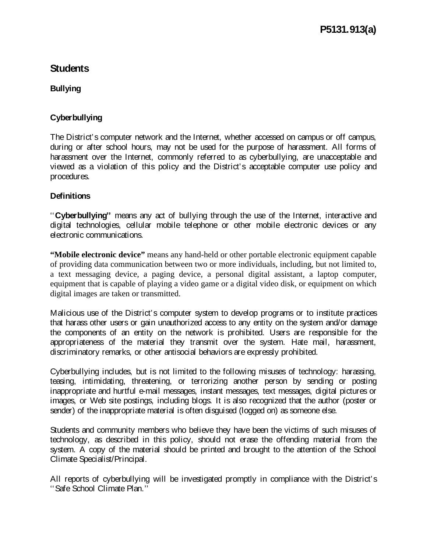# **Students**

### **Bullying**

## **Cyberbullying**

The District's computer network and the Internet, whether accessed on campus or off campus, during or after school hours, may not be used for the purpose of harassment. All forms of harassment over the Internet, commonly referred to as cyberbullying, are unacceptable and viewed as a violation of this policy and the District's acceptable computer use policy and procedures.

### **Definitions**

''**Cyberbullying''** means any act of bullying through the use of the Internet, interactive and digital technologies, cellular mobile telephone or other mobile electronic devices or any electronic communications.

**"Mobile electronic device"** means any hand-held or other portable electronic equipment capable of providing data communication between two or more individuals, including, but not limited to, a text messaging device, a paging device, a personal digital assistant, a laptop computer, equipment that is capable of playing a video game or a digital video disk, or equipment on which digital images are taken or transmitted.

Malicious use of the District's computer system to develop programs or to institute practices that harass other users or gain unauthorized access to any entity on the system and/or damage the components of an entity on the network is prohibited. Users are responsible for the appropriateness of the material they transmit over the system. Hate mail, harassment, discriminatory remarks, or other antisocial behaviors are expressly prohibited.

Cyberbullying includes, but is not limited to the following misuses of technology: harassing, teasing, intimidating, threatening, or terrorizing another person by sending or posting inappropriate and hurtful e-mail messages, instant messages, text messages, digital pictures or images, or Web site postings, including blogs. It is also recognized that the author (poster or sender) of the inappropriate material is often disguised (logged on) as someone else.

Students and community members who believe they have been the victims of such misuses of technology, as described in this policy, should not erase the offending material from the system. A copy of the material should be printed and brought to the attention of the School Climate Specialist/Principal.

All reports of cyberbullying will be investigated promptly in compliance with the District's ''Safe School Climate Plan.''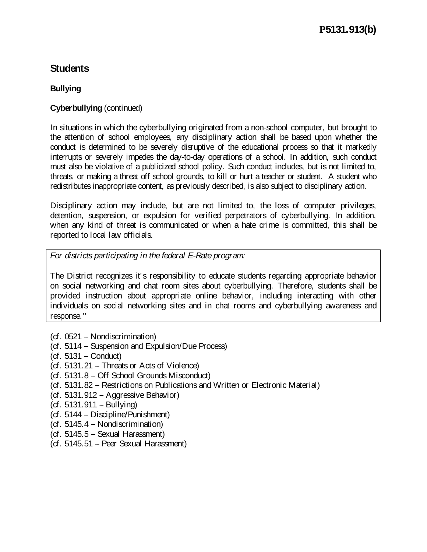# **Students**

## **Bullying**

### **Cyberbullying** (continued)

In situations in which the cyberbullying originated from a non-school computer, but brought to the attention of school employees, any disciplinary action shall be based upon whether the conduct is determined to be severely disruptive of the educational process so that it markedly interrupts or severely impedes the day-to-day operations of a school. In addition, such conduct must also be violative of a publicized school policy. Such conduct includes, but is not limited to, threats, or making a threat off school grounds, to kill or hurt a teacher or student. A student who redistributes inappropriate content, as previously described, is also subject to disciplinary action.

Disciplinary action may include, but are not limited to, the loss of computer privileges, detention, suspension, or expulsion for verified perpetrators of cyberbullying. In addition, when any kind of threat is communicated or when a hate crime is committed, this shall be reported to local law officials.

*For districts participating in the federal E-Rate program:*

The District recognizes it's responsibility to educate students regarding appropriate behavior on social networking and chat room sites about cyberbullying. Therefore, students shall be provided instruction about appropriate online behavior, including interacting with other individuals on social networking sites and in chat rooms and cyberbullying awareness and response.''

- $(cf. 0521 Nondiscrimation)$
- (cf. 5114 Suspension and Expulsion/Due Process)
- $(cf. 5131 Conduct)$
- (cf. 5131.21 Threats or Acts of Violence)
- (cf. 5131.8 Off School Grounds Misconduct)
- (cf. 5131.82 Restrictions on Publications and Written or Electronic Material)
- $(cf. 5131.912 Aqqressive Behavior)$
- $(cf. 5131.911 Bullying)$
- $(cf. 5144 Discipliné/Punishment)$
- $(cf. 5145.4 Nondiscrimination)$
- $(cf. 5145.5 -$  Sexual Harassment)
- $(cf. 5145.51 Peer$  Sexual Harassment)